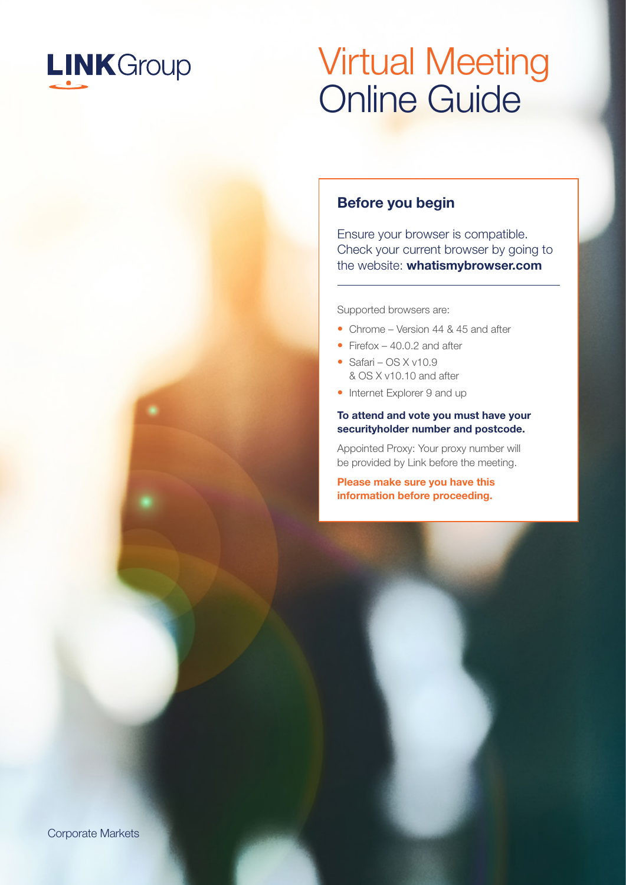

## Virtual Meeting Online Guide

### Before you begin

Ensure your browser is compatible. Check your current browser by going to the website: whatismybrowser.com

Supported browsers are:

- Chrome Version 44 & 45 and after
- Firefox 40.0.2 and after
- Safari OS X v10.9 & OS X v10.10 and after
- Internet Explorer 9 and up

#### To attend and vote you must have your securityholder number and postcode.

Appointed Proxy: Your proxy number will be provided by Link before the meeting.

**Please make sure you have this information before proceeding.**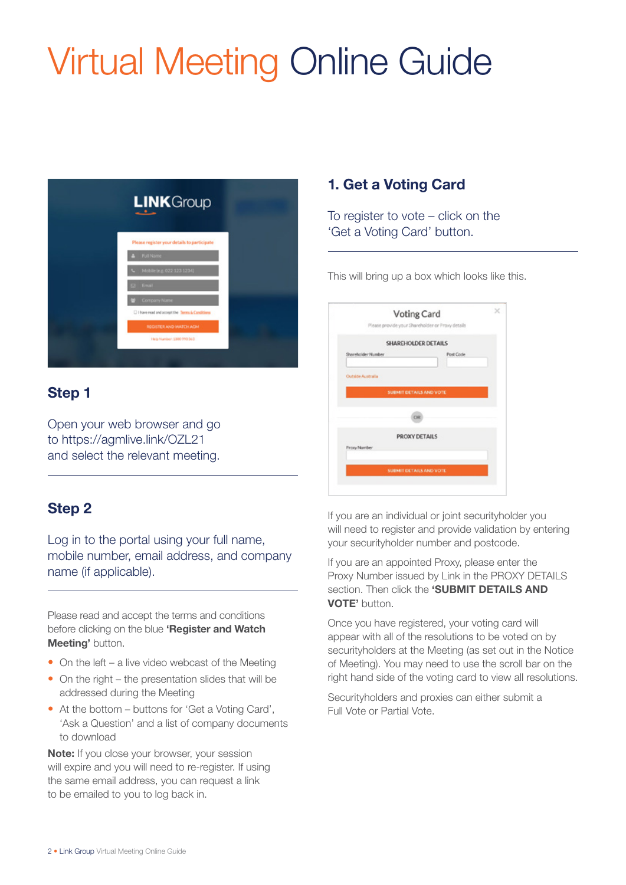# Virtual Meeting Online Guide



## Step 1

Open your web browser and go to https://agmlive.link/OZL21 and select the relevant meeting.

## Step 2

Log in to the portal using your full name, mobile number, email address, and company name (if applicable).

Please read and accept the terms and conditions before clicking on the blue 'Register and Watch Meeting' button.

- On the left a live video webcast of the Meeting
- On the right the presentation slides that will be addressed during the Meeting
- At the bottom buttons for 'Get a Voting Card', 'Ask a Question' and a list of company documents to download

Note: If you close your browser, your session will expire and you will need to re-register. If using the same email address, you can request a link to be emailed to you to log back in.

## 1. Get a Voting Card

To register to vote – click on the 'Get a Voting Card' button.

This will bring up a box which looks like this.

|                     | Voting Card                                      |                         |  |
|---------------------|--------------------------------------------------|-------------------------|--|
|                     | Please provide your Shareholder or Proxy details |                         |  |
|                     | <b>SHAREHOLDER DETAILS</b>                       |                         |  |
| Shareholder Number  |                                                  | <b>Port Code</b>        |  |
|                     |                                                  |                         |  |
| Outside Australia   |                                                  |                         |  |
|                     | SUBMIT DETAILS AND VOTE                          |                         |  |
|                     |                                                  |                         |  |
|                     | OR                                               |                         |  |
|                     |                                                  |                         |  |
|                     | PROXY DETAILS                                    |                         |  |
| <b>Froxy Number</b> |                                                  |                         |  |
|                     |                                                  |                         |  |
|                     |                                                  | SUBMIT DETAILS AND VOTE |  |

If you are an individual or joint securityholder you will need to register and provide validation by entering your securityholder number and postcode.

If you are an appointed Proxy, please enter the Proxy Number issued by Link in the PROXY DETAILS section. Then click the 'SUBMIT DETAILS AND VOTE' button.

Once you have registered, your voting card will appear with all of the resolutions to be voted on by securityholders at the Meeting (as set out in the Notice of Meeting). You may need to use the scroll bar on the right hand side of the voting card to view all resolutions.

Securityholders and proxies can either submit a Full Vote or Partial Vote.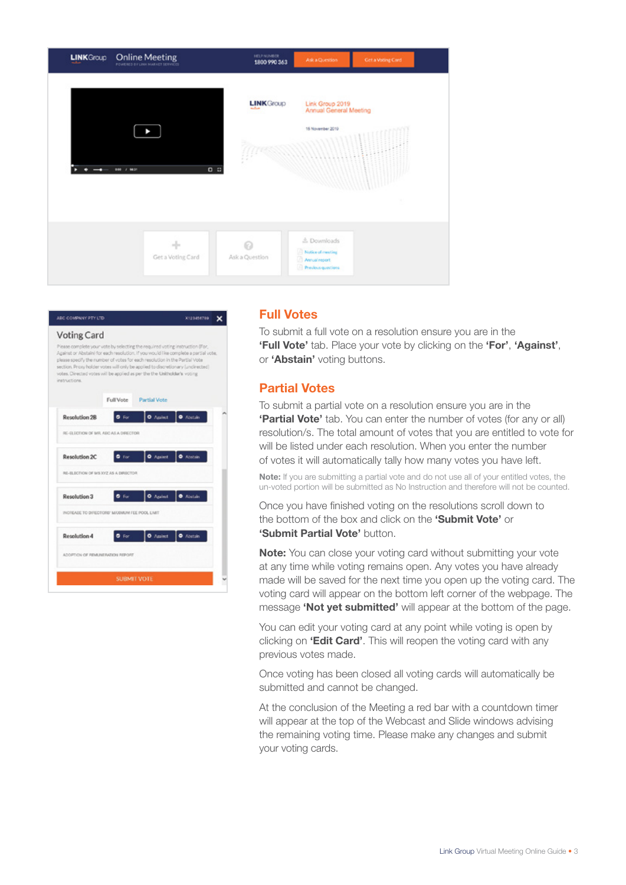



#### Full Votes

To submit a full vote on a resolution ensure you are in the **'Full Vote'** tab. Place your vote by clicking on the **'For'**, **'Against'**, or **'Abstain'** voting buttons.

#### Partial Votes

To submit a partial vote on a resolution ensure you are in the **'Partial Vote'** tab. You can enter the number of votes (for any or all) resolution/s. The total amount of votes that you are entitled to vote for will be listed under each resolution. When you enter the number of votes it will automatically tally how many votes you have left.

Note: If you are submitting a partial vote and do not use all of your entitled votes, the un-voted portion will be submitted as No Instruction and therefore will not be counted.

Once you have finished voting on the resolutions scroll down to the bottom of the box and click on the **'Submit Vote'** or **'Submit Partial Vote' button.** 

**Note:** You can close your voting card without submitting your vote at any time while voting remains open. Any votes you have already made will be saved for the next time you open up the voting card. The voting card will appear on the bottom left corner of the webpage. The message **'Not yet submitted'** will appear at the bottom of the page.

You can edit your voting card at any point while voting is open by clicking on **'Edit Card'**. This will reopen the voting card with any previous votes made.

Once voting has been closed all voting cards will automatically be submitted and cannot be changed.

At the conclusion of the Meeting a red bar with a countdown timer will appear at the top of the Webcast and Slide windows advising the remaining voting time. Please make any changes and submit your voting cards.